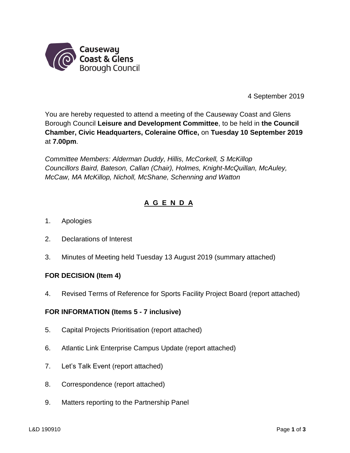

4 September 2019

You are hereby requested to attend a meeting of the Causeway Coast and Glens Borough Council **Leisure and Development Committee**, to be held in **the Council Chamber, Civic Headquarters, Coleraine Office,** on **Tuesday 10 September 2019** at **7.00pm**.

*Committee Members: Alderman Duddy, Hillis, McCorkell, S McKillop Councillors Baird, Bateson, Callan (Chair), Holmes, Knight-McQuillan, McAuley, McCaw, MA McKillop, Nicholl, McShane, Schenning and Watton*

# **A G E N D A**

- 1. Apologies
- 2. Declarations of Interest
- 3. Minutes of Meeting held Tuesday 13 August 2019 (summary attached)

## **FOR DECISION (Item 4)**

4. Revised Terms of Reference for Sports Facility Project Board (report attached)

## **FOR INFORMATION (Items 5 - 7 inclusive)**

- 5. Capital Projects Prioritisation (report attached)
- 6. Atlantic Link Enterprise Campus Update (report attached)
- 7. Let's Talk Event (report attached)
- 8. Correspondence (report attached)
- 9. Matters reporting to the Partnership Panel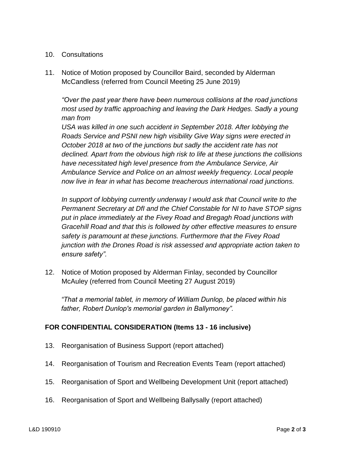## 10. Consultations

11. Notice of Motion proposed by Councillor Baird, seconded by Alderman McCandless (referred from Council Meeting 25 June 2019)

*"Over the past year there have been numerous collisions at the road junctions most used by traffic approaching and leaving the Dark Hedges. Sadly a young man from* 

USA was killed in one such accident in September 2018. After lobbying the *Roads Service and PSNI new high visibility Give Way signs were erected in October 2018 at two of the junctions but sadly the accident rate has not declined. Apart from the obvious high risk to life at these junctions the collisions have necessitated high level presence from the Ambulance Service, Air Ambulance Service and Police on an almost weekly frequency. Local people now live in fear in what has become treacherous international road junctions.* 

*In support of lobbying currently underway I would ask that Council write to the Permanent Secretary at DfI and the Chief Constable for NI to have STOP signs put in place immediately at the Fivey Road and Bregagh Road junctions with Gracehill Road and that this is followed by other effective measures to ensure safety is paramount at these junctions. Furthermore that the Fivey Road junction with the Drones Road is risk assessed and appropriate action taken to ensure safety".*

12. Notice of Motion proposed by Alderman Finlay, seconded by Councillor McAuley (referred from Council Meeting 27 August 2019)

*"That a memorial tablet, in memory of William Dunlop, be placed within his father, Robert Dunlop's memorial garden in Ballymoney".*

## **FOR CONFIDENTIAL CONSIDERATION (Items 13 - 16 inclusive)**

- 13. Reorganisation of Business Support (report attached)
- 14. Reorganisation of Tourism and Recreation Events Team (report attached)
- 15. Reorganisation of Sport and Wellbeing Development Unit (report attached)
- 16. Reorganisation of Sport and Wellbeing Ballysally (report attached)